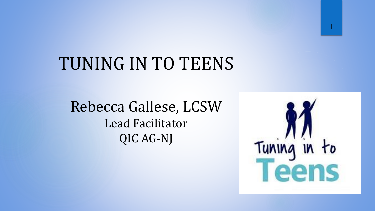# TUNING IN TO TEENS

Rebecca Gallese, LCSW Lead Facilitator QIC AG-NJ



1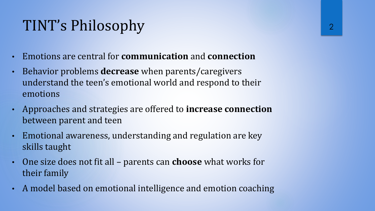### TINT's Philosophy

- Emotions are central for **communication** and **connection**
- Behavior problems **decrease** when parents/caregivers understand the teen's emotional world and respond to their emotions
- Approaches and strategies are offered to **increase connection**  between parent and teen
- Emotional awareness, understanding and regulation are key skills taught
- One size does not fit all parents can **choose** what works for their family
- A model based on emotional intelligence and emotion coaching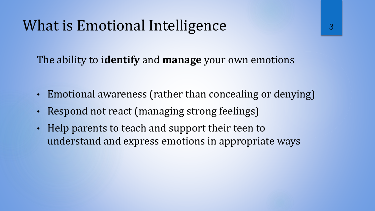#### What is Emotional Intelligence

The ability to **identify** and **manage** your own emotions

- Emotional awareness (rather than concealing or denying)
- Respond not react (managing strong feelings)
- Help parents to teach and support their teen to understand and express emotions in appropriate ways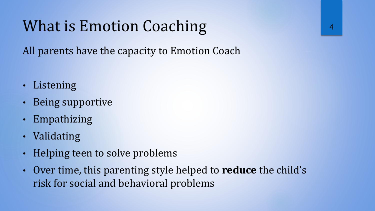### What is Emotion Coaching

All parents have the capacity to Emotion Coach

- Listening
- Being supportive
- Empathizing
- Validating
- Helping teen to solve problems
- Over time, this parenting style helped to **reduce** the child's risk for social and behavioral problems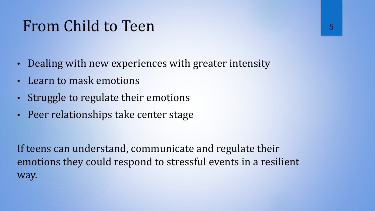#### From Child to Teen

- Dealing with new experiences with greater intensity
- Learn to mask emotions
- Struggle to regulate their emotions
- Peer relationships take center stage

If teens can understand, communicate and regulate their emotions they could respond to stressful events in a resilient way.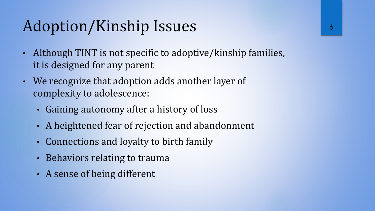## Adoption/Kinship Issues

- Although TINT is not specific to adoptive/kinship families, it is designed for any parent
- We recognize that adoption adds another layer of complexity to adolescence:
	- Gaining autonomy after a history of loss
	- A heightened fear of rejection and abandonment
	- Connections and loyalty to birth family
	- Behaviors relating to trauma
	- A sense of being different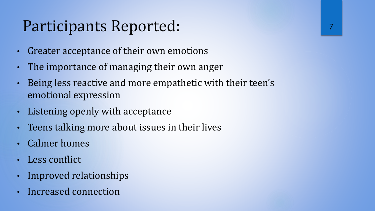## Participants Reported:

- Greater acceptance of their own emotions
- The importance of managing their own anger
- Being less reactive and more empathetic with their teen's emotional expression
- Listening openly with acceptance
- Teens talking more about issues in their lives
- Calmer homes
- Less conflict
- Improved relationships
- Increased connection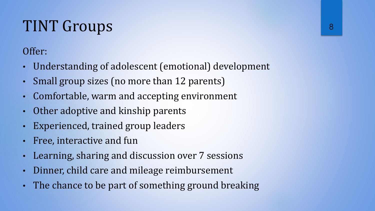# TINT Groups

#### Offer:

- Understanding of adolescent (emotional) development
- Small group sizes (no more than 12 parents)
- Comfortable, warm and accepting environment
- Other adoptive and kinship parents
- Experienced, trained group leaders
- Free, interactive and fun
- Learning, sharing and discussion over 7 sessions
- Dinner, child care and mileage reimbursement
- The chance to be part of something ground breaking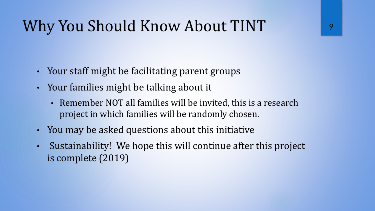## Why You Should Know About TINT

- Your staff might be facilitating parent groups
- Your families might be talking about it
	- Remember NOT all families will be invited, this is a research project in which families will be randomly chosen.
- You may be asked questions about this initiative
- Sustainability! We hope this will continue after this project is complete (2019)